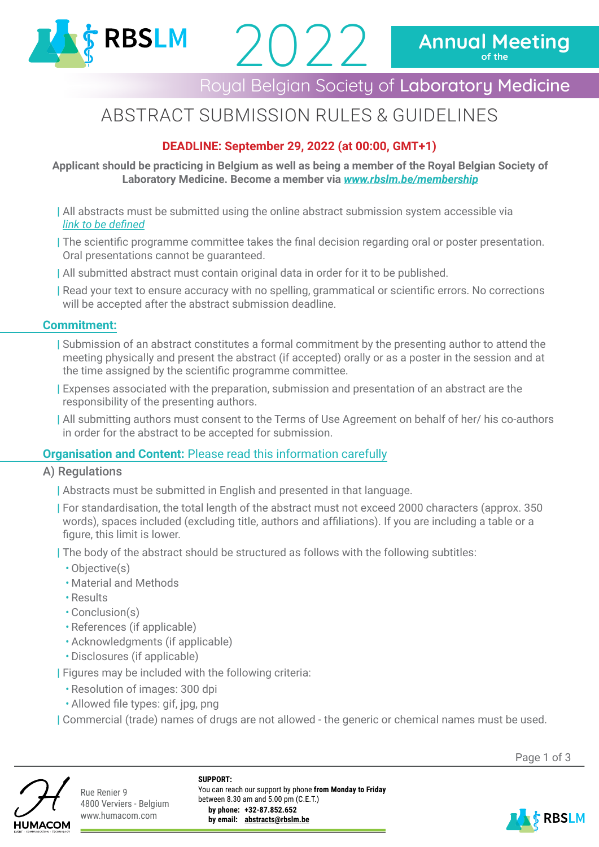

# Royal Belgian Society of Laboratory Medicine

# ABSTRACT SUBMISSION RULES & GUIDELINES

2022

# **DEADLINE: September 29, 2022 (at 00:00, GMT+1)**

### **Applicant should be practicing in Belgium as well as being a member of the Royal Belgian Society of Laboratory Medicine. Become a member via** *[www.rbslm.be/membership](http://www.rbslm.be/membership)*

- | All abstracts must be submitted using the online abstract submission system accessible via *link to be defined*
- | The scientific programme committee takes the final decision regarding oral or poster presentation. Oral presentations cannot be guaranteed.
- | All submitted abstract must contain original data in order for it to be published.
- | Read your text to ensure accuracy with no spelling, grammatical or scientific errors. No corrections will be accepted after the abstract submission deadline.

## **Commitment:**

- | Submission of an abstract constitutes a formal commitment by the presenting author to attend the meeting physically and present the abstract (if accepted) orally or as a poster in the session and at the time assigned by the scientific programme committee.
- | Expenses associated with the preparation, submission and presentation of an abstract are the responsibility of the presenting authors.
- | All submitting authors must consent to the Terms of Use Agreement on behalf of her/ his co-authors in order for the abstract to be accepted for submission.

# **Organisation and Content:** Please read this information carefully

### A) Regulations

- | Abstracts must be submitted in English and presented in that language.
- | For standardisation, the total length of the abstract must not exceed 2000 characters (approx. 350 words), spaces included (excluding title, authors and affiliations). If you are including a table or a figure, this limit is lower.

| The body of the abstract should be structured as follows with the following subtitles:

- Objective(s)
- Material and Methods
- Results
- Conclusion(s)
- References (if applicable)
- Acknowledgments (if applicable)
- Disclosures (if applicable)

| Figures may be included with the following criteria:

- Resolution of images: 300 dpi
- Allowed file types: gif, jpg, png

| Commercial (trade) names of drugs are not allowed - the generic or chemical names must be used.





Rue Renier 9 4800 Verviers - Belgium www.humacom.com

**SUPPORT:** You can reach our support by phone **from Monday to Friday** between 8.30 am and 5.00 pm (C.E.T.) **by phone: +32-87.852.652 by email: abstracts@rbslm.be**

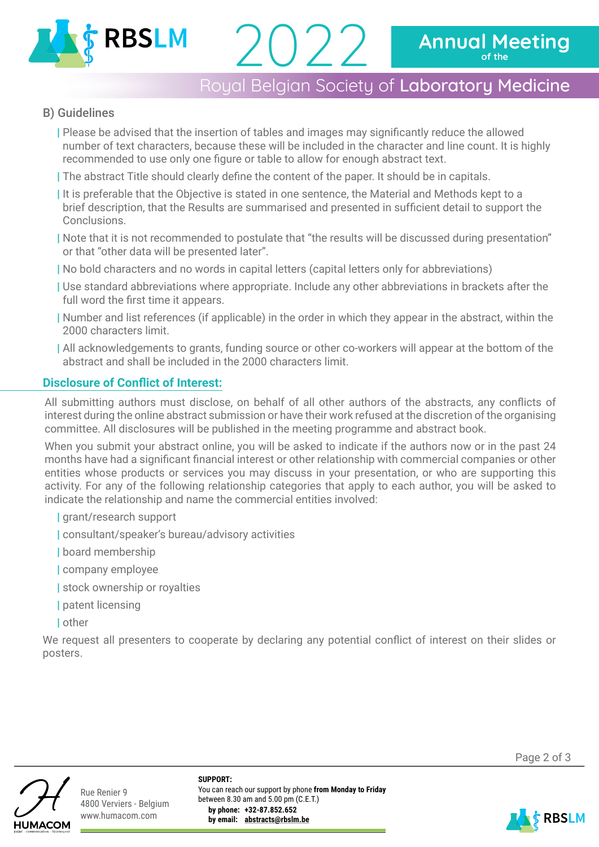

# Royal Belgian Society of Laboratory Medicine

## B) Guidelines

| Please be advised that the insertion of tables and images may significantly reduce the allowed number of text characters, because these will be included in the character and line count. It is highly recommended to use only one figure or table to allow for enough abstract text.

2022

| The abstract Title should clearly define the content of the paper. It should be in capitals.

| It is preferable that the Objective is stated in one sentence, the Material and Methods kept to a brief description, that the Results are summarised and presented in sufficient detail to support the Conclusions.

| Note that it is not recommended to postulate that "the results will be discussed during presentation" or that "other data will be presented later".

| No bold characters and no words in capital letters (capital letters only for abbreviations)

- | Use standard abbreviations where appropriate. Include any other abbreviations in brackets after the full word the first time it appears.
- | Number and list references (if applicable) in the order in which they appear in the abstract, within the 2000 characters limit.
- | All acknowledgements to grants, funding source or other co-workers will appear at the bottom of the abstract and shall be included in the 2000 characters limit.

## **Disclosure of Conflict of Interest:**

All submitting authors must disclose, on behalf of all other authors of the abstracts, any conflicts of interest during the online abstract submission or have their work refused at the discretion of the organising committee. All disclosures will be published in the meeting programme and abstract book.

When you submit your abstract online, you will be asked to indicate if the authors now or in the past 24 months have had a significant financial interest or other relationship with commercial companies or other entities whose products or services you may discuss in your presentation, or who are supporting this activity. For any of the following relationship categories that apply to each author, you will be asked to indicate the relationship and name the commercial entities involved:

- | grant/research support
- | consultant/speaker's bureau/advisory activities
- | board membership
- | company employee
- | stock ownership or royalties
- | patent licensing
- | other

We request all presenters to cooperate by declaring any potential conflict of interest on their slides or posters.



Rue Renier 9 4800 Verviers - Belgium www.humacom.com

**SUPPORT:** You can reach our support by phone **from Monday to Friday** between 8.30 am and 5.00 pm (C.E.T.) **by phone: +32-87.852.652 by email: abstracts@rbslm.be**